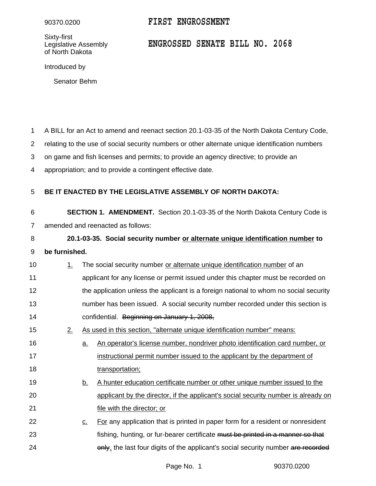Sixty-first<br>Legislative Assembly of North Dakota

## 90370.0200 **FIRST ENGROSSMENT**

## Legislative Assembly **ENGROSSED SENATE BILL NO. 2068**

Introduced by

Senator Behm

A BILL for an Act to amend and reenact section 20.1-03-35 of the North Dakota Century Code, 1

relating to the use of social security numbers or other alternate unique identification numbers 2

on game and fish licenses and permits; to provide an agency directive; to provide an 3

appropriation; and to provide a contingent effective date. 4

## **BE IT ENACTED BY THE LEGISLATIVE ASSEMBLY OF NORTH DAKOTA:** 5

**SECTION 1. AMENDMENT.** Section 20.1-03-35 of the North Dakota Century Code is amended and reenacted as follows: 6 7

**20.1-03-35. Social security number or alternate unique identification number to be furnished.** 8 9

- 1. The social security number or alternate unique identification number of an applicant for any license or permit issued under this chapter must be recorded on the application unless the applicant is a foreign national to whom no social security number has been issued. A social security number recorded under this section is confidential. Beginning on January 1, 2008, 10 11 12 13 14
- 2. As used in this section, "alternate unique identification number" means: 15
- a. An operator's license number, nondriver photo identification card number, or instructional permit number issued to the applicant by the department of transportation; 16 17 18
- b. A hunter education certificate number or other unique number issued to the applicant by the director, if the applicant's social security number is already on file with the director; or 19 20 21
- c. For any application that is printed in paper form for a resident or nonresident fishing, hunting, or fur-bearer certificate must be printed in a manner so that only, the last four digits of the applicant's social security number are recorded 22 23 24